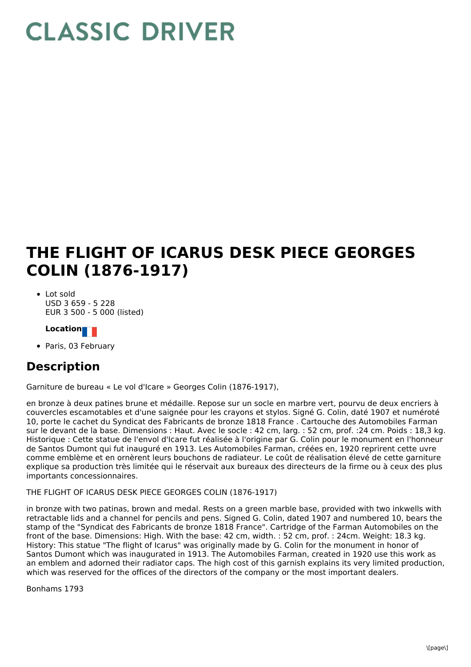# **CLASSIC DRIVER**

## **THE FLIGHT OF ICARUS DESK PIECE GEORGES COLIN (1876-1917)**

Lot sold USD 3 659 - 5 228 EUR 3 500 - 5 000 (listed)

#### **Location**

Paris, 03 February

### **Description**

Garniture de bureau « Le vol d'Icare » Georges Colin (1876-1917),

en bronze à deux patines brune et médaille. Repose sur un socle en marbre vert, pourvu de deux encriers à couvercles escamotables et d'une saignée pour les crayons et stylos. Signé G. Colin, daté 1907 et numéroté 10, porte le cachet du Syndicat des Fabricants de bronze 1818 France . Cartouche des Automobiles Farman sur le devant de la base. Dimensions : Haut. Avec le socle : 42 cm, larg. : 52 cm, prof. :24 cm. Poids : 18,3 kg. Historique : Cette statue de l'envol d'Icare fut réalisée à l'origine par G. Colin pour le monument en l'honneur de Santos Dumont qui fut inauguré en 1913. Les Automobiles Farman, créées en, 1920 reprirent cette uvre comme emblème et en ornèrent leurs bouchons de radiateur. Le coût de réalisation élevé de cette garniture explique sa production très limitée qui le réservait aux bureaux des directeurs de la firme ou à ceux des plus importants concessionnaires.

#### THE FLIGHT OF ICARUS DESK PIECE GEORGES COLIN (1876-1917)

in bronze with two patinas, brown and medal. Rests on a green marble base, provided with two inkwells with retractable lids and a channel for pencils and pens. Signed G. Colin, dated 1907 and numbered 10, bears the stamp of the "Syndicat des Fabricants de bronze 1818 France". Cartridge of the Farman Automobiles on the front of the base. Dimensions: High. With the base: 42 cm, width. : 52 cm, prof. : 24cm. Weight: 18.3 kg. History: This statue "The flight of Icarus" was originally made by G. Colin for the monument in honor of Santos Dumont which was inaugurated in 1913. The Automobiles Farman, created in 1920 use this work as an emblem and adorned their radiator caps. The high cost of this garnish explains its very limited production, which was reserved for the offices of the directors of the company or the most important dealers.

Bonhams 1793